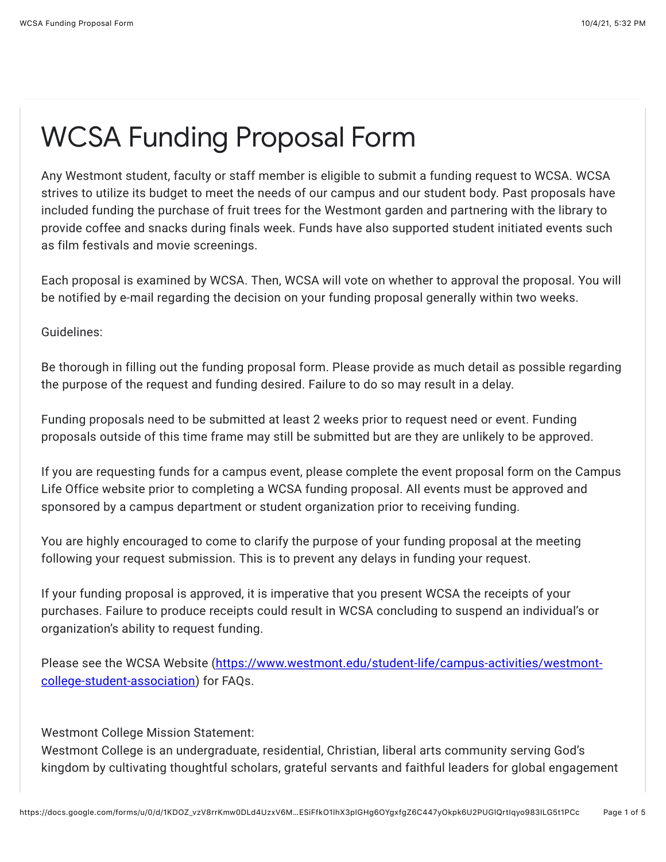## WCSA Funding Proposal Form

Any Westmont student, faculty or staff member is eligible to submit a funding request to WCSA. WCSA strives to utilize its budget to meet the needs of our campus and our student body. Past proposals have included funding the purchase of fruit trees for the Westmont garden and partnering with the library to provide coffee and snacks during finals week. Funds have also supported student initiated events such as film festivals and movie screenings.

Each proposal is examined by WCSA. Then, WCSA will vote on whether to approval the proposal. You will be notified by e-mail regarding the decision on your funding proposal generally within two weeks.

Guidelines:

Be thorough in filling out the funding proposal form. Please provide as much detail as possible regarding the purpose of the request and funding desired. Failure to do so may result in a delay.

Funding proposals need to be submitted at least 2 weeks prior to request need or event. Funding proposals outside of this time frame may still be submitted but are they are unlikely to be approved.

If you are requesting funds for a campus event, please complete the event proposal form on the Campus Life Office website prior to completing a WCSA funding proposal. All events must be approved and sponsored by a campus department or student organization prior to receiving funding.

You are highly encouraged to come to clarify the purpose of your funding proposal at the meeting following your request submission. This is to prevent any delays in funding your request.

If your funding proposal is approved, it is imperative that you present WCSA the receipts of your purchases. Failure to produce receipts could result in WCSA concluding to suspend an individual's or organization's ability to request funding.

[Please see the WCSA Website \(https://www.westmont.edu/student-life/campus-activities/westmont](https://www.google.com/url?q=https://www.westmont.edu/student-life/campus-activities/westmont-college-student-association&sa=D&source=editors&ust=1633397549621000&usg=AFQjCNFJiQEAL3f4Ycdt_zmBVRuegCBhOQ)college-student-association) for FAQs.

Westmont College Mission Statement:

Westmont College is an undergraduate, residential, Christian, liberal arts community serving God's kingdom by cultivating thoughtful scholars, grateful servants and faithful leaders for global engagement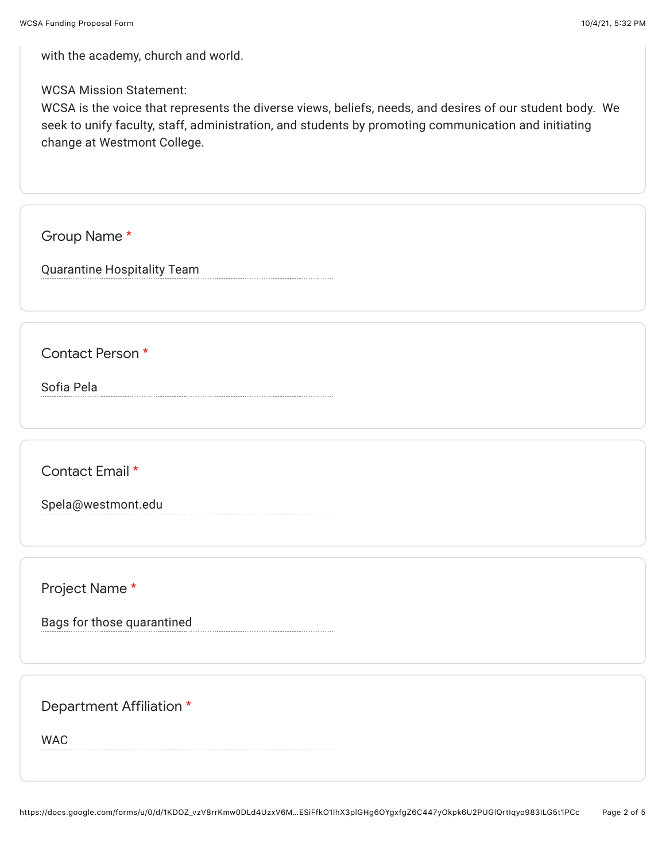with the academy, church and world.

WCSA Mission Statement:

WCSA is the voice that represents the diverse views, beliefs, needs, and desires of our student body. We seek to unify faculty, staff, administration, and students by promoting communication and initiating change at Westmont College.

Group Name \*

Quarantine Hospitality Team

Contact Person \*

Sofia Pela

Contact Email \*

Spela@westmont.edu

Project Name \*

Bags for those quarantined

Department Affiliation \*

WAC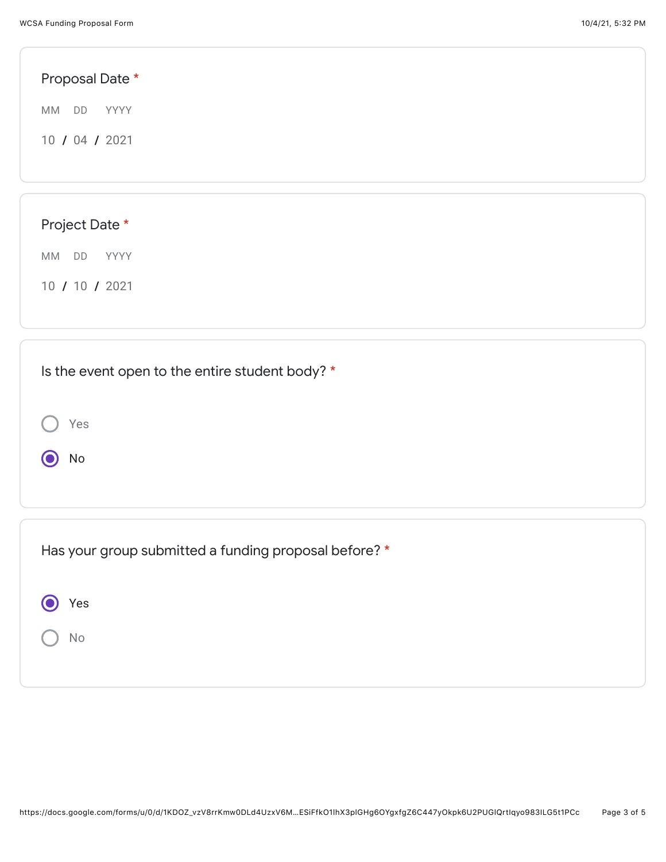| Proposal Date *                                 |  |  |
|-------------------------------------------------|--|--|
| MM DD<br>YYYY                                   |  |  |
| 10 / 04 / 2021                                  |  |  |
|                                                 |  |  |
|                                                 |  |  |
| Project Date *                                  |  |  |
| MM DD<br>YYYY                                   |  |  |
| 10 / 10 / 2021                                  |  |  |
|                                                 |  |  |
| Is the event open to the entire student body? * |  |  |
|                                                 |  |  |
| Yes                                             |  |  |

Has your group submitted a funding proposal before? \*

| $\circ$ Yes |  |
|-------------|--|
| ( ) No      |  |

O No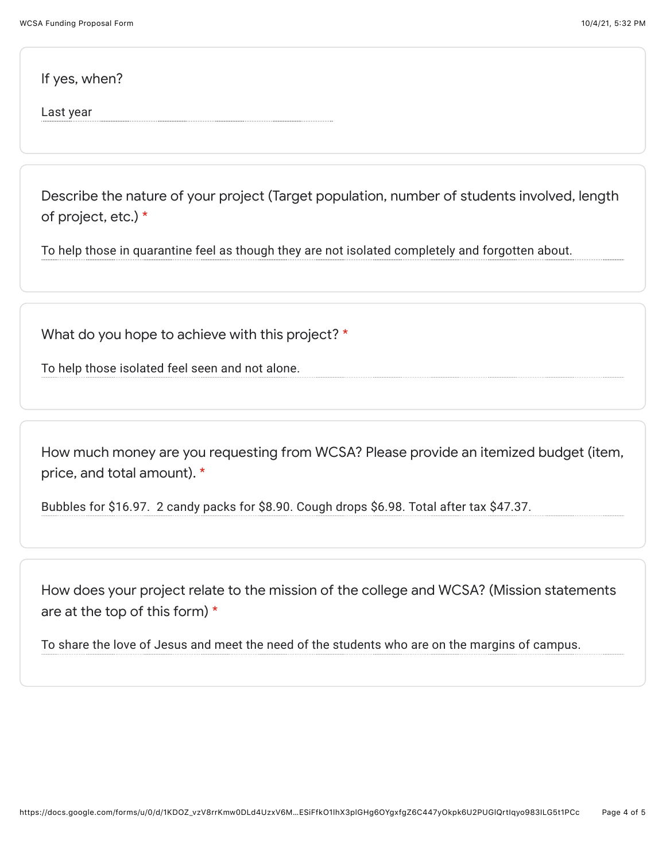If yes, when?

Last year

Describe the nature of your project (Target population, number of students involved, length of project, etc.) \*

To help those in quarantine feel as though they are not isolated completely and forgotten about.

What do you hope to achieve with this project? \*

To help those isolated feel seen and not alone.

How much money are you requesting from WCSA? Please provide an itemized budget (item, price, and total amount). \*

Bubbles for \$16.97. 2 candy packs for \$8.90. Cough drops \$6.98. Total after tax \$47.37.

How does your project relate to the mission of the college and WCSA? (Mission statements are at the top of this form) \*

To share the love of Jesus and meet the need of the students who are on the margins of campus.